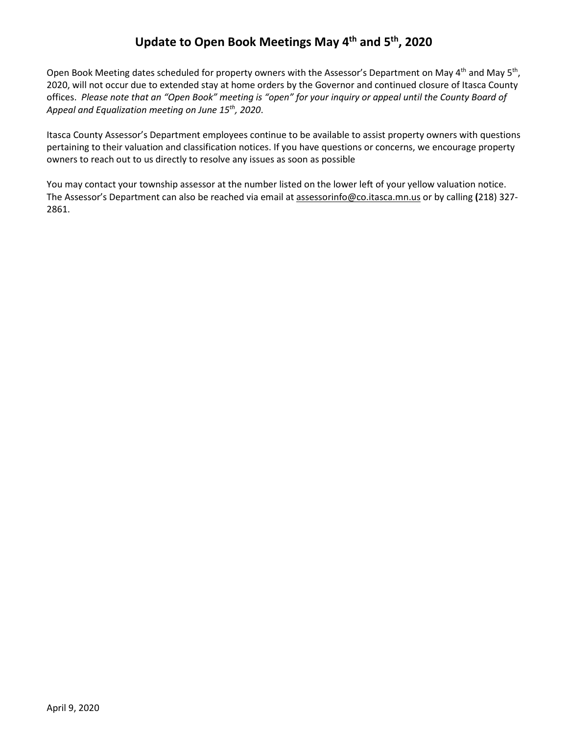## **Update to Open Book Meetings May 4th and 5th, 2020**

Open Book Meeting dates scheduled for property owners with the Assessor's Department on May 4<sup>th</sup> and May 5<sup>th</sup>, 2020, will not occur due to extended stay at home orders by the Governor and continued closure of Itasca County offices. *Please note that an "Open Book" meeting is "open" for your inquiry or appeal until the County Board of Appeal and Equalization meeting on June 15th, 2020*.

Itasca County Assessor's Department employees continue to be available to assist property owners with questions pertaining to their valuation and classification notices. If you have questions or concerns, we encourage property owners to reach out to us directly to resolve any issues as soon as possible

You may contact your township assessor at the number listed on the lower left of your yellow valuation notice. The Assessor's Department can also be reached via email a[t assessorinfo@co.itasca.mn.us](mailto:assessorinfo@co.itasca.mn.us) or by calling **(**218) 327- 2861.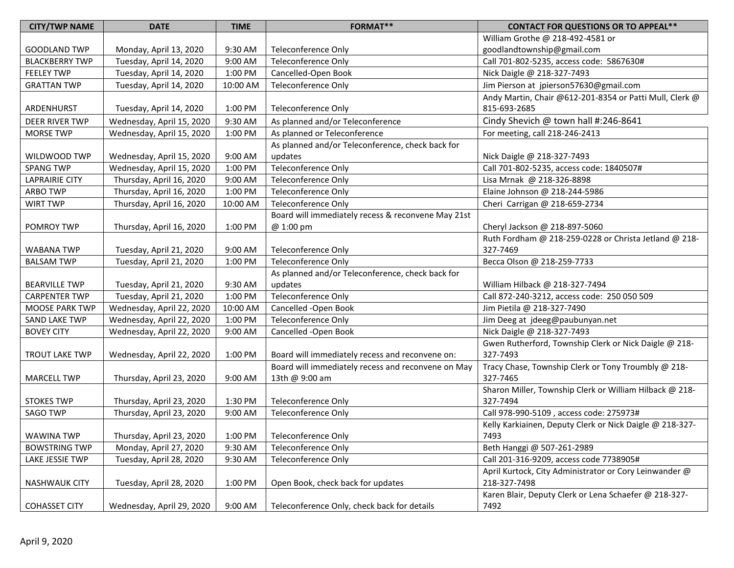| <b>CITY/TWP NAME</b>  | <b>DATE</b>               | <b>TIME</b> | <b>FORMAT**</b>                                    | <b>CONTACT FOR QUESTIONS OR TO APPEAL**</b>              |
|-----------------------|---------------------------|-------------|----------------------------------------------------|----------------------------------------------------------|
|                       |                           |             |                                                    | William Grothe @ 218-492-4581 or                         |
| <b>GOODLAND TWP</b>   | Monday, April 13, 2020    | 9:30 AM     | Teleconference Only                                | goodlandtownship@gmail.com                               |
| <b>BLACKBERRY TWP</b> | Tuesday, April 14, 2020   | 9:00 AM     | <b>Teleconference Only</b>                         | Call 701-802-5235, access code: 5867630#                 |
| <b>FEELEY TWP</b>     | Tuesday, April 14, 2020   | 1:00 PM     | Cancelled-Open Book                                | Nick Daigle @ 218-327-7493                               |
| <b>GRATTAN TWP</b>    | Tuesday, April 14, 2020   | 10:00 AM    | <b>Teleconference Only</b>                         | Jim Pierson at jpierson57630@gmail.com                   |
|                       |                           |             |                                                    | Andy Martin, Chair @612-201-8354 or Patti Mull, Clerk @  |
| ARDENHURST            | Tuesday, April 14, 2020   | 1:00 PM     | Teleconference Only                                | 815-693-2685                                             |
| DEER RIVER TWP        | Wednesday, April 15, 2020 | 9:30 AM     | As planned and/or Teleconference                   | Cindy Shevich @ town hall #:246-8641                     |
| <b>MORSE TWP</b>      | Wednesday, April 15, 2020 | 1:00 PM     | As planned or Teleconference                       | For meeting, call 218-246-2413                           |
|                       |                           |             | As planned and/or Teleconference, check back for   |                                                          |
| WILDWOOD TWP          | Wednesday, April 15, 2020 | 9:00 AM     | updates                                            | Nick Daigle @ 218-327-7493                               |
| <b>SPANG TWP</b>      | Wednesday, April 15, 2020 | 1:00 PM     | Teleconference Only                                | Call 701-802-5235, access code: 1840507#                 |
| <b>LAPRAIRIE CITY</b> | Thursday, April 16, 2020  | 9:00 AM     | Teleconference Only                                | Lisa Mrnak @ 218-326-8898                                |
| <b>ARBO TWP</b>       | Thursday, April 16, 2020  | 1:00 PM     | <b>Teleconference Only</b>                         | Elaine Johnson @ 218-244-5986                            |
| <b>WIRT TWP</b>       | Thursday, April 16, 2020  | 10:00 AM    | Teleconference Only                                | Cheri Carrigan @ 218-659-2734                            |
|                       |                           |             | Board will immediately recess & reconvene May 21st |                                                          |
| POMROY TWP            | Thursday, April 16, 2020  | 1:00 PM     | @ 1:00 pm                                          | Cheryl Jackson @ 218-897-5060                            |
|                       |                           |             |                                                    | Ruth Fordham @ 218-259-0228 or Christa Jetland @ 218-    |
| <b>WABANA TWP</b>     | Tuesday, April 21, 2020   | 9:00 AM     | Teleconference Only                                | 327-7469                                                 |
| <b>BALSAM TWP</b>     | Tuesday, April 21, 2020   | 1:00 PM     | <b>Teleconference Only</b>                         | Becca Olson @ 218-259-7733                               |
|                       |                           |             | As planned and/or Teleconference, check back for   |                                                          |
| <b>BEARVILLE TWP</b>  | Tuesday, April 21, 2020   | 9:30 AM     | updates                                            | William Hilback @ 218-327-7494                           |
| <b>CARPENTER TWP</b>  | Tuesday, April 21, 2020   | 1:00 PM     | Teleconference Only                                | Call 872-240-3212, access code: 250 050 509              |
| <b>MOOSE PARK TWP</b> | Wednesday, April 22, 2020 | 10:00 AM    | Cancelled -Open Book                               | Jim Pietila @ 218-327-7490                               |
| <b>SAND LAKE TWP</b>  | Wednesday, April 22, 2020 | 1:00 PM     | <b>Teleconference Only</b>                         | Jim Deeg at jdeeg@paubunyan.net                          |
| <b>BOVEY CITY</b>     | Wednesday, April 22, 2020 | 9:00 AM     | Cancelled -Open Book                               | Nick Daigle @ 218-327-7493                               |
|                       |                           |             |                                                    | Gwen Rutherford, Township Clerk or Nick Daigle @ 218-    |
| <b>TROUT LAKE TWP</b> | Wednesday, April 22, 2020 | 1:00 PM     | Board will immediately recess and reconvene on:    | 327-7493                                                 |
|                       |                           |             | Board will immediately recess and reconvene on May | Tracy Chase, Township Clerk or Tony Troumbly @ 218-      |
| <b>MARCELL TWP</b>    | Thursday, April 23, 2020  | 9:00 AM     | 13th @ 9:00 am                                     | 327-7465                                                 |
|                       |                           |             |                                                    | Sharon Miller, Township Clerk or William Hilback @ 218-  |
| <b>STOKES TWP</b>     | Thursday, April 23, 2020  | 1:30 PM     | <b>Teleconference Only</b>                         | 327-7494                                                 |
| <b>SAGO TWP</b>       | Thursday, April 23, 2020  | 9:00 AM     | Teleconference Only                                | Call 978-990-5109, access code: 275973#                  |
|                       |                           |             |                                                    | Kelly Karkiainen, Deputy Clerk or Nick Daigle @ 218-327- |
| <b>WAWINA TWP</b>     | Thursday, April 23, 2020  | 1:00 PM     | Teleconference Only                                | 7493                                                     |
| <b>BOWSTRING TWP</b>  | Monday, April 27, 2020    | 9:30 AM     | Teleconference Only                                | Beth Hanggi @ 507-261-2989                               |
| LAKE JESSIE TWP       | Tuesday, April 28, 2020   | 9:30 AM     | <b>Teleconference Only</b>                         | Call 201-316-9209, access code 7738905#                  |
|                       |                           |             |                                                    | April Kurtock, City Administrator or Cory Leinwander @   |
| <b>NASHWAUK CITY</b>  | Tuesday, April 28, 2020   | 1:00 PM     | Open Book, check back for updates                  | 218-327-7498                                             |
|                       |                           |             |                                                    | Karen Blair, Deputy Clerk or Lena Schaefer @ 218-327-    |
| <b>COHASSET CITY</b>  | Wednesday, April 29, 2020 | 9:00 AM     | Teleconference Only, check back for details        | 7492                                                     |